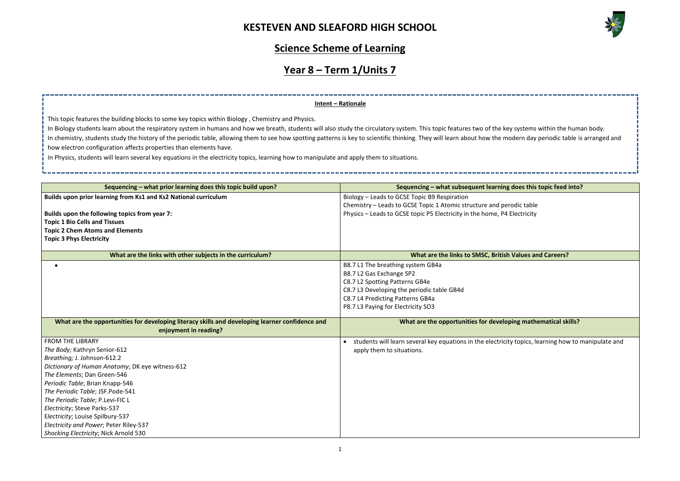

## **Science Scheme of Learning**

# **Year 8 – Term 1/Units 7**

| Sequencing - what prior learning does this topic build upon?                                                             | Sequencing - what subsequent learning does this topic feed into?                                    |
|--------------------------------------------------------------------------------------------------------------------------|-----------------------------------------------------------------------------------------------------|
| Builds upon prior learning from Ks1 and Ks2 National curriculum                                                          | Biology - Leads to GCSE Topic B9 Respiration                                                        |
|                                                                                                                          | Chemistry - Leads to GCSE Topic 1 Atomic structure and perodic table                                |
| Builds upon the following topics from year 7:                                                                            | Physics - Leads to GCSE topic P5 Electricity in the home, P4 Electricity                            |
| <b>Topic 1 Bio Cells and Tissues</b>                                                                                     |                                                                                                     |
| <b>Topic 2 Chem Atoms and Elements</b>                                                                                   |                                                                                                     |
| <b>Topic 3 Phys Electricity</b>                                                                                          |                                                                                                     |
| What are the links with other subjects in the curriculum?                                                                | What are the links to SMSC, British Values and Careers?                                             |
|                                                                                                                          | B8.7 L1 The breathing system GB4a                                                                   |
|                                                                                                                          | B8.7 L2 Gas Exchange SP2                                                                            |
|                                                                                                                          | C8.7 L2 Spotting Patterns GB4e                                                                      |
|                                                                                                                          | C8.7 L3 Developing the periodic table GB4d                                                          |
|                                                                                                                          | C8.7 L4 Predicting Patterns GB4a                                                                    |
|                                                                                                                          | P8.7 L3 Paying for Electricity SO3                                                                  |
|                                                                                                                          |                                                                                                     |
| What are the opportunities for developing literacy skills and developing learner confidence and<br>enjoyment in reading? | What are the opportunities for developing mathematical skills?                                      |
| <b>FROM THE LIBRARY</b>                                                                                                  | students will learn several key equations in the electricity topics, learning how to manipulate and |
| The Body; Kathryn Senior-612                                                                                             | apply them to situations.                                                                           |
| Breathing; J. Johnson-612.2                                                                                              |                                                                                                     |
| Dictionary of Human Anatomy; DK eye witness-612                                                                          |                                                                                                     |
| The Elements; Dan Green-546                                                                                              |                                                                                                     |
| Periodic Table; Brian Knapp-546                                                                                          |                                                                                                     |
| The Periodic Table; JSF.Pode-541                                                                                         |                                                                                                     |
| The Periodic Table; P.Levi-FIC L                                                                                         |                                                                                                     |
| Electricity; Steve Parks-537                                                                                             |                                                                                                     |
| Electricity; Louise Spilbury-537                                                                                         |                                                                                                     |
| Electricity and Power; Peter Riley-537                                                                                   |                                                                                                     |
| Shocking Electricity; Nick Arnold 530                                                                                    |                                                                                                     |

In Biology students learn about the respiratory system in humans and how we breath, students will also study the circulatory system. This topic features two of the key In chemistry, students study the history of the periodic table, allowing them to see how spotting patterns is key to scientific thinking. They will learn about how the mod how electron configuration affects properties than elements have.

#### **Intent – Rationale**

This topic features the building blocks to some key topics within Biology , Chemistry and Physics.

In Physics, students will learn several key equations in the electricity topics, learning how to manipulate and apply them to situations.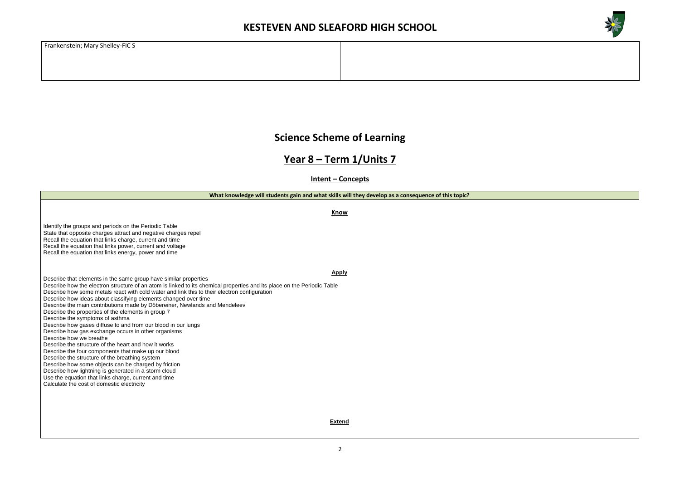

Frankenstein; Mary Shelley-FIC S

#### **Science Scheme of Learning**

#### **Year 8 – Term 1/Units 7**

**Intent – Concepts**

**What knowledge will students gain and what skills will they develop as a consequence of this topic?**

**Know**

Identify the groups and periods on the Periodic Table State that opposite charges attract and negative charges repel Recall the equation that links charge, current and time Recall the equation that links power, current and voltage Recall the equation that links energy, power and time

**Apply**

Describe that elements in the same group have similar properties Describe how the electron structure of an atom is linked to its chemical properties and its place on the Periodic Table Describe how some metals react with cold water and link this to their electron configuration Describe how ideas about classifying elements changed over time Describe the main contributions made by Döbereiner, Newlands and Mendeleev Describe the properties of the elements in group 7

Describe the symptoms of asthma

Describe how gases diffuse to and from our blood in our lungs

Describe how gas exchange occurs in other organisms

Describe how we breathe

Describe the structure of the heart and how it works Describe the four components that make up our blood

Describe the structure of the breathing system

Describe how some objects can be charged by friction

Describe how lightning is generated in a storm cloud

Use the equation that links charge, current and time

Calculate the cost of domestic electricity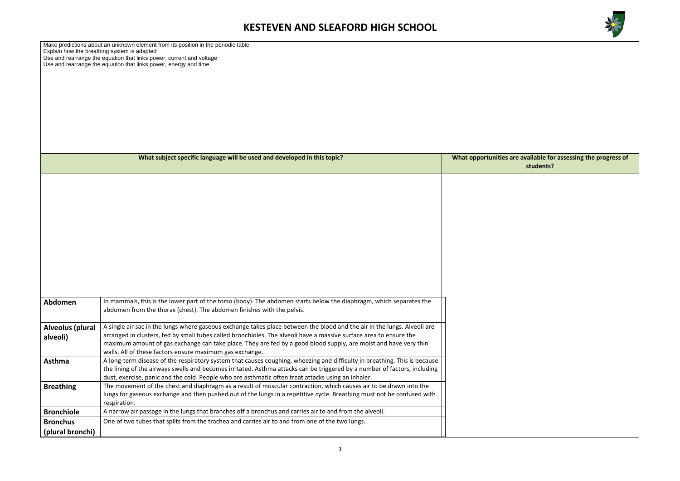

Make predictions about an unknown element from its position in the periodic table Explain how the breathing system is adapted Use and rearrange the equation that links power, current and voltage Use and rearrange the equation that links power, energy and time

#### are available for assessing the progress of **students?**

|                                      | What subject specific language will be used and developed in this topic?                                                                                                                      | <b>What opportunities</b> |
|--------------------------------------|-----------------------------------------------------------------------------------------------------------------------------------------------------------------------------------------------|---------------------------|
|                                      |                                                                                                                                                                                               |                           |
|                                      |                                                                                                                                                                                               |                           |
|                                      |                                                                                                                                                                                               |                           |
|                                      |                                                                                                                                                                                               |                           |
|                                      |                                                                                                                                                                                               |                           |
|                                      |                                                                                                                                                                                               |                           |
|                                      |                                                                                                                                                                                               |                           |
|                                      |                                                                                                                                                                                               |                           |
|                                      |                                                                                                                                                                                               |                           |
|                                      |                                                                                                                                                                                               |                           |
|                                      |                                                                                                                                                                                               |                           |
|                                      |                                                                                                                                                                                               |                           |
|                                      |                                                                                                                                                                                               |                           |
| Abdomen                              | In mammals, this is the lower part of the torso (body). The abdomen starts below the diaphragm, which separates the<br>abdomen from the thorax (chest). The abdomen finishes with the pelvis. |                           |
|                                      |                                                                                                                                                                                               |                           |
| Alveolus (plural                     | A single air sac in the lungs where gaseous exchange takes place between the blood and the air in the lungs. Alveoli are                                                                      |                           |
| alveoli)                             | arranged in clusters, fed by small tubes called bronchioles. The alveoli have a massive surface area to ensure the                                                                            |                           |
|                                      | maximum amount of gas exchange can take place. They are fed by a good blood supply, are moist and have very thin                                                                              |                           |
| Asthma                               | walls. All of these factors ensure maximum gas exchange.<br>A long-term disease of the respiratory system that causes coughing, wheezing and difficulty in breathing. This is because         |                           |
|                                      | the lining of the airways swells and becomes irritated. Asthma attacks can be triggered by a number of factors, including                                                                     |                           |
|                                      | dust, exercise, panic and the cold. People who are asthmatic often treat attacks using an inhaler.                                                                                            |                           |
| <b>Breathing</b>                     | The movement of the chest and diaphragm as a result of muscular contraction, which causes air to be drawn into the                                                                            |                           |
|                                      | lungs for gaseous exchange and then pushed out of the lungs in a repetitive cycle. Breathing must not be confused with                                                                        |                           |
|                                      | respiration.<br>A narrow air passage in the lungs that branches off a bronchus and carries air to and from the alveoli.                                                                       |                           |
| <b>Bronchiole</b><br><b>Bronchus</b> | One of two tubes that splits from the trachea and carries air to and from one of the two lungs.                                                                                               |                           |
|                                      |                                                                                                                                                                                               |                           |
| (plural bronchi)                     |                                                                                                                                                                                               |                           |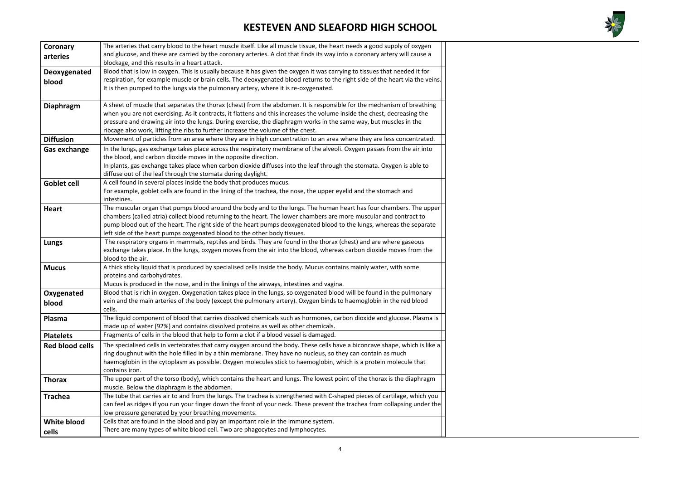

| Coronary               | The arteries that carry blood to the heart muscle itself. Like all muscle tissue, the heart needs a good supply of oxygen    |
|------------------------|------------------------------------------------------------------------------------------------------------------------------|
| arteries               | and glucose, and these are carried by the coronary arteries. A clot that finds its way into a coronary artery will cause a   |
|                        | blockage, and this results in a heart attack.                                                                                |
| Deoxygenated           | Blood that is low in oxygen. This is usually because it has given the oxygen it was carrying to tissues that needed it for   |
| blood                  | respiration, for example muscle or brain cells. The deoxygenated blood returns to the right side of the heart via the veins. |
|                        | It is then pumped to the lungs via the pulmonary artery, where it is re-oxygenated.                                          |
|                        |                                                                                                                              |
| <b>Diaphragm</b>       | A sheet of muscle that separates the thorax (chest) from the abdomen. It is responsible for the mechanism of breathing       |
|                        | when you are not exercising. As it contracts, it flattens and this increases the volume inside the chest, decreasing the     |
|                        | pressure and drawing air into the lungs. During exercise, the diaphragm works in the same way, but muscles in the            |
|                        | ribcage also work, lifting the ribs to further increase the volume of the chest.                                             |
| <b>Diffusion</b>       | Movement of particles from an area where they are in high concentration to an area where they are less concentrated.         |
| <b>Gas exchange</b>    | In the lungs, gas exchange takes place across the respiratory membrane of the alveoli. Oxygen passes from the air into       |
|                        | the blood, and carbon dioxide moves in the opposite direction.                                                               |
|                        | In plants, gas exchange takes place when carbon dioxide diffuses into the leaf through the stomata. Oxygen is able to        |
|                        | diffuse out of the leaf through the stomata during daylight.                                                                 |
| Goblet cell            | A cell found in several places inside the body that produces mucus.                                                          |
|                        | For example, goblet cells are found in the lining of the trachea, the nose, the upper eyelid and the stomach and             |
|                        | intestines.                                                                                                                  |
| <b>Heart</b>           | The muscular organ that pumps blood around the body and to the lungs. The human heart has four chambers. The upper           |
|                        | chambers (called atria) collect blood returning to the heart. The lower chambers are more muscular and contract to           |
|                        | pump blood out of the heart. The right side of the heart pumps deoxygenated blood to the lungs, whereas the separate         |
|                        | left side of the heart pumps oxygenated blood to the other body tissues.                                                     |
| Lungs                  | The respiratory organs in mammals, reptiles and birds. They are found in the thorax (chest) and are where gaseous            |
|                        | exchange takes place. In the lungs, oxygen moves from the air into the blood, whereas carbon dioxide moves from the          |
|                        | blood to the air.                                                                                                            |
| <b>Mucus</b>           | A thick sticky liquid that is produced by specialised cells inside the body. Mucus contains mainly water, with some          |
|                        | proteins and carbohydrates.                                                                                                  |
|                        | Mucus is produced in the nose, and in the linings of the airways, intestines and vagina.                                     |
| Oxygenated             | Blood that is rich in oxygen. Oxygenation takes place in the lungs, so oxygenated blood will be found in the pulmonary       |
| blood                  | vein and the main arteries of the body (except the pulmonary artery). Oxygen binds to haemoglobin in the red blood           |
|                        | cells.                                                                                                                       |
| Plasma                 | The liquid component of blood that carries dissolved chemicals such as hormones, carbon dioxide and glucose. Plasma is       |
|                        | made up of water (92%) and contains dissolved proteins as well as other chemicals.                                           |
| <b>Platelets</b>       | Fragments of cells in the blood that help to form a clot if a blood vessel is damaged.                                       |
| <b>Red blood cells</b> | The specialised cells in vertebrates that carry oxygen around the body. These cells have a biconcave shape, which is like a  |
|                        | ring doughnut with the hole filled in by a thin membrane. They have no nucleus, so they can contain as much                  |
|                        | haemoglobin in the cytoplasm as possible. Oxygen molecules stick to haemoglobin, which is a protein molecule that            |
|                        | contains iron.                                                                                                               |
| <b>Thorax</b>          | The upper part of the torso (body), which contains the heart and lungs. The lowest point of the thorax is the diaphragm      |
|                        | muscle. Below the diaphragm is the abdomen.                                                                                  |
| <b>Trachea</b>         | The tube that carries air to and from the lungs. The trachea is strengthened with C-shaped pieces of cartilage, which you    |
|                        | can feel as ridges if you run your finger down the front of your neck. These prevent the trachea from collapsing under the   |
|                        | low pressure generated by your breathing movements.                                                                          |
| <b>White blood</b>     | Cells that are found in the blood and play an important role in the immune system.                                           |
| cells                  | There are many types of white blood cell. Two are phagocytes and lymphocytes.                                                |
|                        |                                                                                                                              |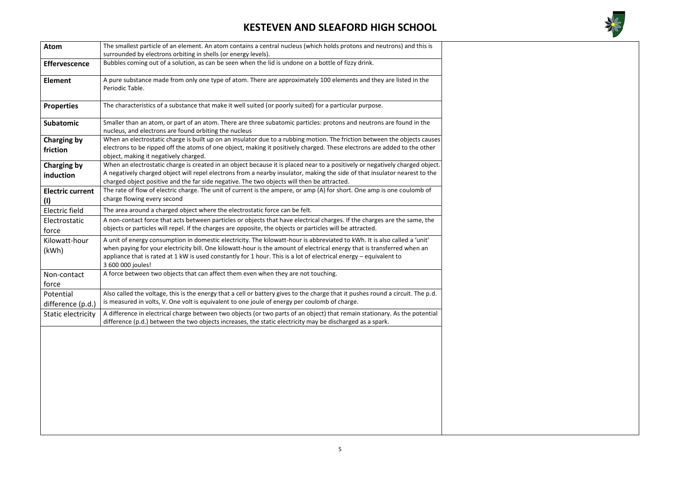

| <b>Atom</b>                     | The smallest particle of an element. An atom contains a central nucleus (which holds protons and neutrons) and this is<br>surrounded by electrons orbiting in shells (or energy levels).                                                                                                                                                                                                       |
|---------------------------------|------------------------------------------------------------------------------------------------------------------------------------------------------------------------------------------------------------------------------------------------------------------------------------------------------------------------------------------------------------------------------------------------|
| <b>Effervescence</b>            | Bubbles coming out of a solution, as can be seen when the lid is undone on a bottle of fizzy drink.                                                                                                                                                                                                                                                                                            |
| <b>Element</b>                  | A pure substance made from only one type of atom. There are approximately 100 elements and they are listed in the<br>Periodic Table.                                                                                                                                                                                                                                                           |
| <b>Properties</b>               | The characteristics of a substance that make it well suited (or poorly suited) for a particular purpose.                                                                                                                                                                                                                                                                                       |
| <b>Subatomic</b>                | Smaller than an atom, or part of an atom. There are three subatomic particles: protons and neutrons are found in the<br>nucleus, and electrons are found orbiting the nucleus                                                                                                                                                                                                                  |
| <b>Charging by</b><br>friction  | When an electrostatic charge is built up on an insulator due to a rubbing motion. The friction between the objects causes<br>electrons to be ripped off the atoms of one object, making it positively charged. These electrons are added to the other<br>object, making it negatively charged.                                                                                                 |
| <b>Charging by</b><br>induction | When an electrostatic charge is created in an object because it is placed near to a positively or negatively charged object.<br>A negatively charged object will repel electrons from a nearby insulator, making the side of that insulator nearest to the<br>charged object positive and the far side negative. The two objects will then be attracted.                                       |
| <b>Electric current</b><br>(1)  | The rate of flow of electric charge. The unit of current is the ampere, or amp (A) for short. One amp is one coulomb of<br>charge flowing every second                                                                                                                                                                                                                                         |
| <b>Electric field</b>           | The area around a charged object where the electrostatic force can be felt.                                                                                                                                                                                                                                                                                                                    |
| Electrostatic<br>force          | A non-contact force that acts between particles or objects that have electrical charges. If the charges are the same, the<br>objects or particles will repel. If the charges are opposite, the objects or particles will be attracted.                                                                                                                                                         |
| Kilowatt-hour<br>(kWh)          | A unit of energy consumption in domestic electricity. The kilowatt-hour is abbreviated to kWh. It is also called a 'unit'<br>when paying for your electricity bill. One kilowatt-hour is the amount of electrical energy that is transferred when an<br>appliance that is rated at 1 kW is used constantly for 1 hour. This is a lot of electrical energy - equivalent to<br>3 600 000 joules! |
| Non-contact<br>force            | A force between two objects that can affect them even when they are not touching.                                                                                                                                                                                                                                                                                                              |
| Potential<br>difference (p.d.)  | Also called the voltage, this is the energy that a cell or battery gives to the charge that it pushes round a circuit. The p.d.<br>is measured in volts, V. One volt is equivalent to one joule of energy per coulomb of charge.                                                                                                                                                               |
| <b>Static electricity</b>       | A difference in electrical charge between two objects (or two parts of an object) that remain stationary. As the potential<br>difference (p.d.) between the two objects increases, the static electricity may be discharged as a spark.                                                                                                                                                        |
|                                 |                                                                                                                                                                                                                                                                                                                                                                                                |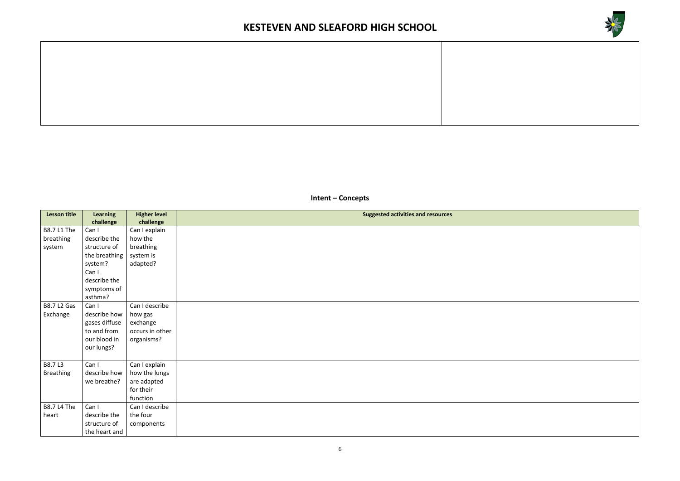

**Intent – Concepts**

| <b>Lesson title</b> | <b>Learning</b> | <b>Higher level</b> | <b>Suggested activities and resources</b> |
|---------------------|-----------------|---------------------|-------------------------------------------|
|                     | challenge       | challenge           |                                           |
| <b>B8.7 L1 The</b>  | Can I           | Can I explain       |                                           |
| breathing           | describe the    | how the             |                                           |
| system              | structure of    | breathing           |                                           |
|                     | the breathing   | system is           |                                           |
|                     | system?         | adapted?            |                                           |
|                     | Can I           |                     |                                           |
|                     | describe the    |                     |                                           |
|                     | symptoms of     |                     |                                           |
|                     | asthma?         |                     |                                           |
| <b>B8.7 L2 Gas</b>  | Can I           | Can I describe      |                                           |
| Exchange            | describe how    | how gas             |                                           |
|                     | gases diffuse   | exchange            |                                           |
|                     | to and from     | occurs in other     |                                           |
|                     | our blood in    | organisms?          |                                           |
|                     | our lungs?      |                     |                                           |
|                     |                 |                     |                                           |
| B8.7 L3             | Can I           | Can I explain       |                                           |
| <b>Breathing</b>    | describe how    | how the lungs       |                                           |
|                     | we breathe?     | are adapted         |                                           |
|                     |                 | for their           |                                           |
|                     |                 | function            |                                           |
| <b>B8.7 L4 The</b>  | Can I           | Can I describe      |                                           |
| heart               | describe the    | the four            |                                           |
|                     | structure of    | components          |                                           |
|                     | the heart and   |                     |                                           |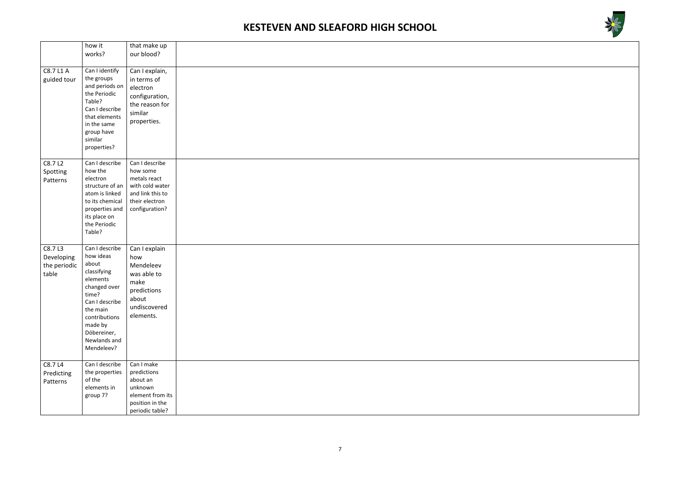



|                                               | how it<br>works?                                                                                                                                                                                | that make up<br>our blood?                                                                                            |  |
|-----------------------------------------------|-------------------------------------------------------------------------------------------------------------------------------------------------------------------------------------------------|-----------------------------------------------------------------------------------------------------------------------|--|
|                                               |                                                                                                                                                                                                 |                                                                                                                       |  |
| C8.7 L1 A<br>guided tour                      | Can I identify<br>the groups<br>and periods on<br>the Periodic<br>Table?<br>Can I describe<br>that elements<br>in the same<br>group have<br>similar<br>properties?                              | Can I explain,<br>in terms of<br>electron<br>configuration,<br>the reason for<br>similar<br>properties.               |  |
| C8.7 L2<br>Spotting<br>Patterns               | Can I describe<br>how the<br>electron<br>structure of an<br>atom is linked<br>to its chemical<br>properties and<br>its place on<br>the Periodic<br>Table?                                       | Can I describe<br>how some<br>metals react<br>with cold water<br>and link this to<br>their electron<br>configuration? |  |
| C8.7L3<br>Developing<br>the periodic<br>table | Can I describe<br>how ideas<br>about<br>classifying<br>elements<br>changed over<br>time?<br>Can I describe<br>the main<br>contributions<br>made by<br>Döbereiner,<br>Newlands and<br>Mendeleev? | Can I explain<br>how<br>Mendeleev<br>was able to<br>make<br>predictions<br>about<br>undiscovered<br>elements.         |  |
| C8.7 L4<br>Predicting<br>Patterns             | Can I describe<br>the properties<br>of the<br>elements in<br>group 7?                                                                                                                           | Can I make<br>predictions<br>about an<br>unknown<br>element from its<br>position in the<br>periodic table?            |  |